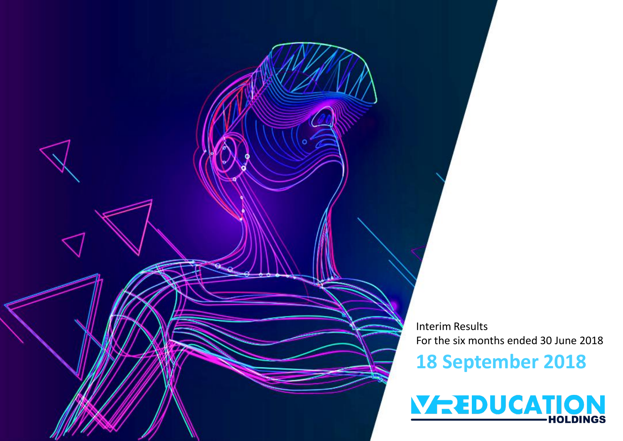

Interim Results For the six months ended 30 June 2018

### **18 September 2018**

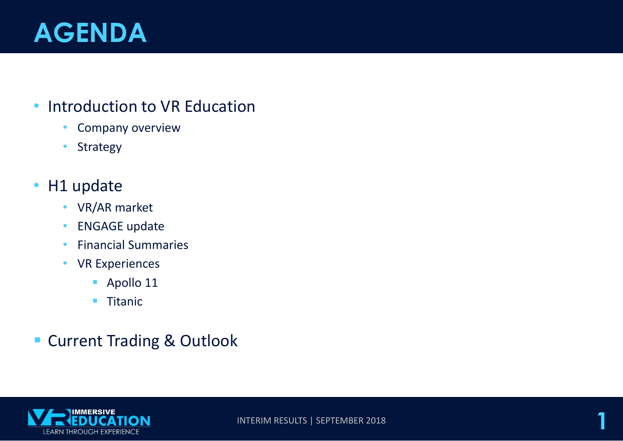# **AGENDA**

#### • Introduction to VR Education

- Company overview
- Strategy

### • H1 update

- VR/AR market
- ENGAGE update
- Financial Summaries
- VR Experiences
	- Apollo 11
	- Titanic

### ■ Current Trading & Outlook

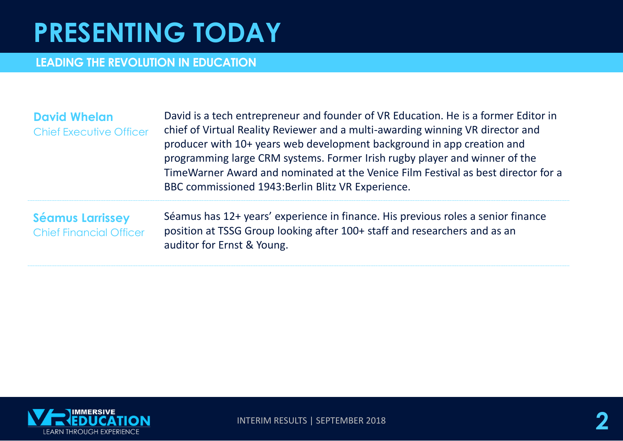# **PRESENTING TODAY**

#### **LEADING THE REVOLUTION IN EDUCATION**

| <b>David Whelan</b><br><b>Chief Executive Officer</b>     | David is a tech entrepreneur and founder of VR Education. He is a former Editor in<br>chief of Virtual Reality Reviewer and a multi-awarding winning VR director and<br>producer with 10+ years web development background in app creation and<br>programming large CRM systems. Former Irish rugby player and winner of the<br>TimeWarner Award and nominated at the Venice Film Festival as best director for a<br>BBC commissioned 1943: Berlin Blitz VR Experience. |
|-----------------------------------------------------------|-------------------------------------------------------------------------------------------------------------------------------------------------------------------------------------------------------------------------------------------------------------------------------------------------------------------------------------------------------------------------------------------------------------------------------------------------------------------------|
| <b>Séamus Larrissey</b><br><b>Chief Financial Officer</b> | Séamus has 12+ years' experience in finance. His previous roles a senior finance<br>position at TSSG Group looking after 100+ staff and researchers and as an<br>auditor for Ernst & Young.                                                                                                                                                                                                                                                                             |



**INTERIM RESULTS | SEPTEMBER 2018**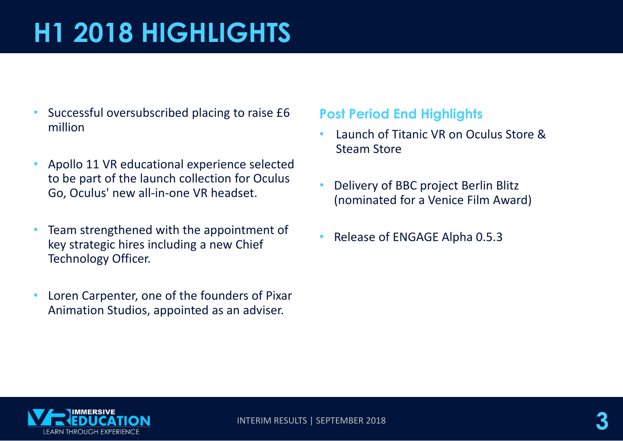# **H1 2018 HIGHLIGHTS**

- Successful oversubscribed placing to raise £6 million
- Apollo 11 VR educational experience selected to be part of the launch collection for Oculus Go, Oculus' new all-in-one VR headset.
- Team strengthened with the appointment of key strategic hires including a new Chief Technology Officer.
- Loren Carpenter, one of the founders of Pixar Animation Studios, appointed as an adviser.

#### **Post Period End Highlights**

- Launch of Titanic VR on Oculus Store & Steam Store
- Delivery of BBC project Berlin Blitz (nominated for a Venice Film Award)
- Release of ENGAGE Alpha 0.5.3

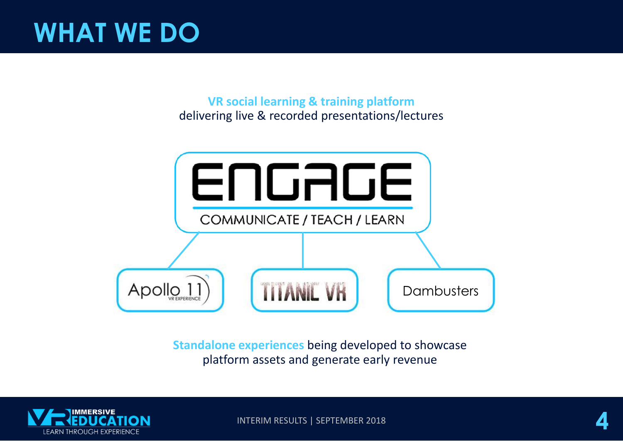# **WHAT WE DO**

**VR social learning & training platform**  delivering live & recorded presentations/lectures



**Standalone experiences** being developed to showcase platform assets and generate early revenue



INTERIM RESULTS | SEPTEMBER 2018 **4**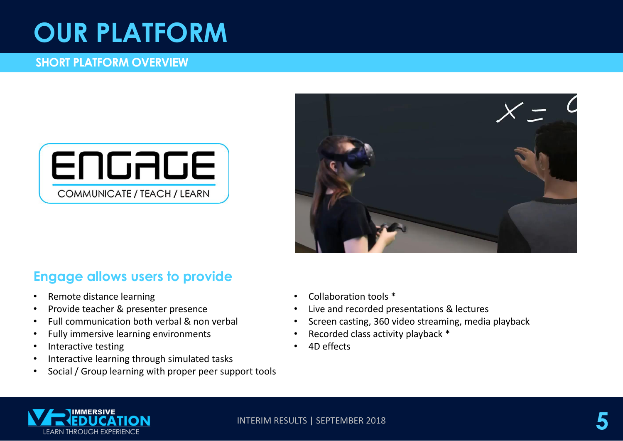## **OUR PLATFORM**

#### **SHORT PLATFORM OVERVIEW**





#### **Engage allows users to provide**

- Remote distance learning
- Provide teacher & presenter presence
- Full communication both verbal & non verbal
- Fully immersive learning environments
- Interactive testing
- Interactive learning through simulated tasks
- Social / Group learning with proper peer support tools
- Collaboration tools \*
- Live and recorded presentations & lectures
- Screen casting, 360 video streaming, media playback
- Recorded class activity playback \*
- 4D effects

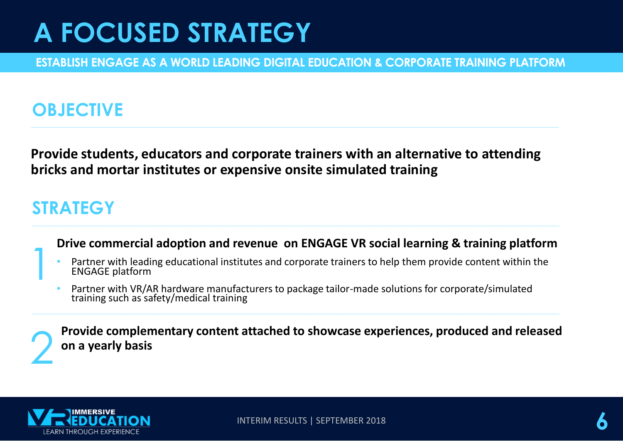# **A FOCUSED STRATEGY**

**ESTABLISH ENGAGE AS A WORLD LEADING DIGITAL EDUCATION & CORPORATE TRAINING PLATFORM**

### **OBJECTIVE**

**Provide students, educators and corporate trainers with an alternative to attending bricks and mortar institutes or expensive onsite simulated training**

#### **STRATEGY**

#### **Drive commercial adoption and revenue on ENGAGE VR social learning & training platform**

- Partner with leading educational institutes and corporate trainers to help them provide content within the ENGAGE platform
- Partner with VR/AR hardware manufacturers to package tailor-made solutions for corporate/simulated training such as safety/medical training



1

**Provide complementary content attached to showcase experiences, produced and released on a yearly basis**

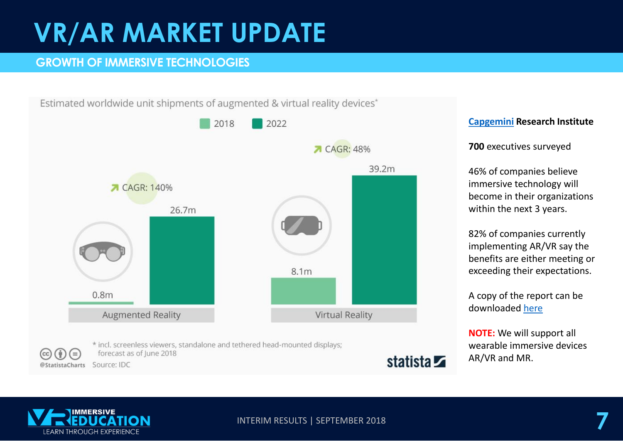# **VR/AR MARKET UPDATE**

#### **GROWTH OF IMMERSIVE TECHNOLOGIES**

Estimated worldwide unit shipments of augmented & virtual reality devices\*



#### **[Capgemini](https://www.capgemini.com/) Research Institute**

**700** executives surveyed

46% of companies believe immersive technology will become in their organizations within the next 3 years.

82% of companies currently implementing AR/VR say the benefits are either meeting or exceeding their expectations.

A copy of the report can be downloaded [here](https://www.capgemini.com/research/augmented-and-virtual-reality-in-operations?utm_source=pr&utm_medium=referral&utm_content=dt_none_link_report_none&utm_campaign=disruptdigital_ri_ar-vr)

**NOTE:** We will support all wearable immersive devices AR/VR and MR.

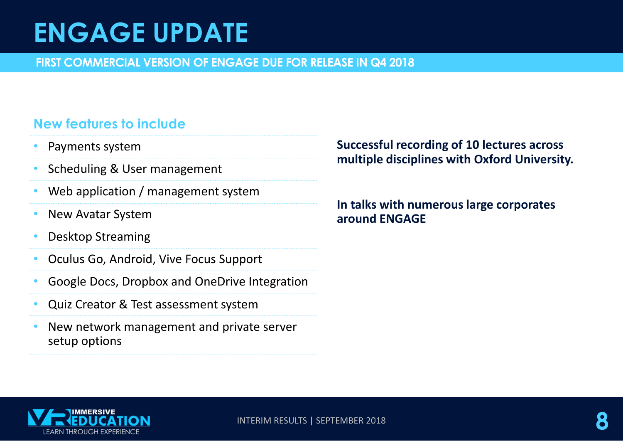# **ENGAGE UPDATE**

**FIRST COMMERCIAL VERSION OF ENGAGE DUE FOR RELEASE IN Q4 2018**

#### **New features to include**

- Payments system
- Scheduling & User management
- Web application / management system
- New Avatar System
- Desktop Streaming
- Oculus Go, Android, Vive Focus Support
- Google Docs, Dropbox and OneDrive Integration
- Quiz Creator & Test assessment system
- New network management and private server setup options

#### **Successful recording of 10 lectures across multiple disciplines with Oxford University.**

**In talks with numerous large corporates around ENGAGE**

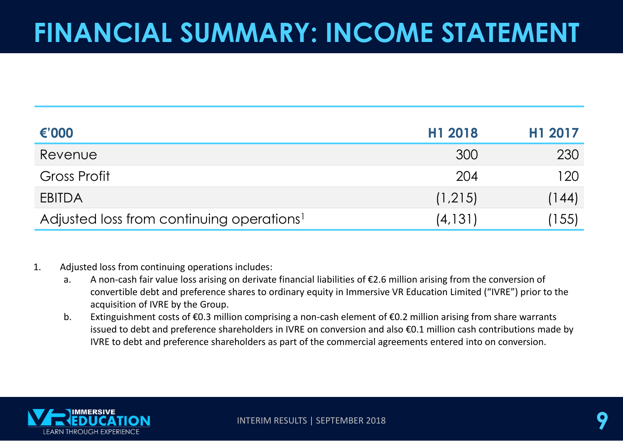# **FINANCIAL SUMMARY: INCOME STATEMENT**

| €'000                                                 | H1 2018  | H1 2017 |
|-------------------------------------------------------|----------|---------|
| Revenue                                               | 300      | 230     |
| <b>Gross Profit</b>                                   | 204      | 120     |
| <b>EBITDA</b>                                         | (1,215)  | (144)   |
| Adjusted loss from continuing operations <sup>1</sup> | (4, 131) | (155)   |

#### 1. Adjusted loss from continuing operations includes:

- a. A non-cash fair value loss arising on derivate financial liabilities of €2.6 million arising from the conversion of convertible debt and preference shares to ordinary equity in Immersive VR Education Limited ("IVRE") prior to the acquisition of IVRE by the Group.
- b. Extinguishment costs of €0.3 million comprising a non-cash element of €0.2 million arising from share warrants issued to debt and preference shareholders in IVRE on conversion and also €0.1 million cash contributions made by IVRE to debt and preference shareholders as part of the commercial agreements entered into on conversion.

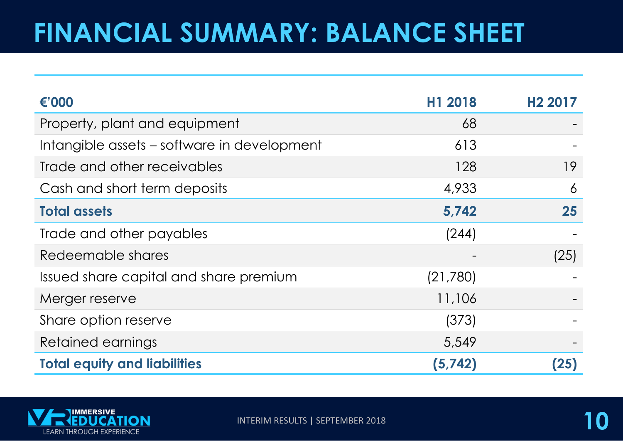# **FINANCIAL SUMMARY: BALANCE SHEET**

| €'000                                       | H1 2018  | H <sub>2</sub> 2017 |
|---------------------------------------------|----------|---------------------|
| Property, plant and equipment               | 68       |                     |
| Intangible assets - software in development | 613      |                     |
| Trade and other receivables                 | 128      | 19                  |
| Cash and short term deposits                | 4,933    | 6                   |
| <b>Total assets</b>                         | 5,742    | 25                  |
| Trade and other payables                    | (244)    |                     |
| Redeemable shares                           |          | (25)                |
| Issued share capital and share premium      | (21,780) |                     |
| Merger reserve                              | 11,106   |                     |
| Share option reserve                        | (373)    |                     |
| Retained earnings                           | 5,549    |                     |
| <b>Total equity and liabilities</b>         | (5,742)  | (25)                |

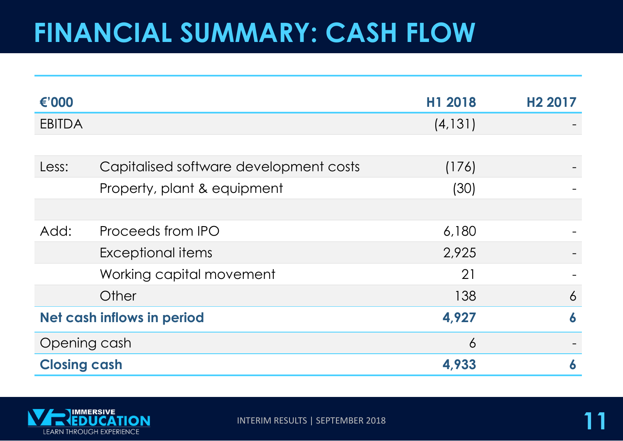## **FINANCIAL SUMMARY: CASH FLOW**

| €'000               |                                        | H1 2018  | H <sub>2</sub> 2017 |
|---------------------|----------------------------------------|----------|---------------------|
| <b>EBITDA</b>       |                                        | (4, 131) |                     |
|                     |                                        |          |                     |
| Less:               | Capitalised software development costs | (176)    |                     |
|                     | Property, plant & equipment            | (30)     |                     |
|                     |                                        |          |                     |
| Add:                | Proceeds from IPO                      | 6,180    |                     |
|                     | Exceptional items                      | 2,925    |                     |
|                     | Working capital movement               | 21       |                     |
|                     | Other                                  | 138      | $\overline{6}$      |
|                     | Net cash inflows in period             | 4,927    | 6                   |
| Opening cash        |                                        | 6        |                     |
| <b>Closing cash</b> |                                        | 4,933    | 6                   |

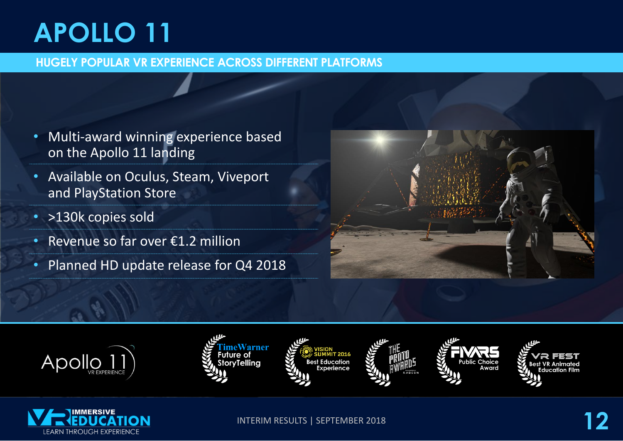# **APOLLO 11**

#### **HUGELY POPULAR VR EXPERIENCE ACROSS DIFFERENT PLATFORMS**

- Multi-award winning experience based on the Apollo 11 landing
- Available on Oculus, Steam, Viveport and PlayStation Store
- >130k copies sold
- Revenue so far over €1.2 million
- Planned HD update release for Q4 2018

















**INTERIM RESULTS | SEPTEMBER 2018**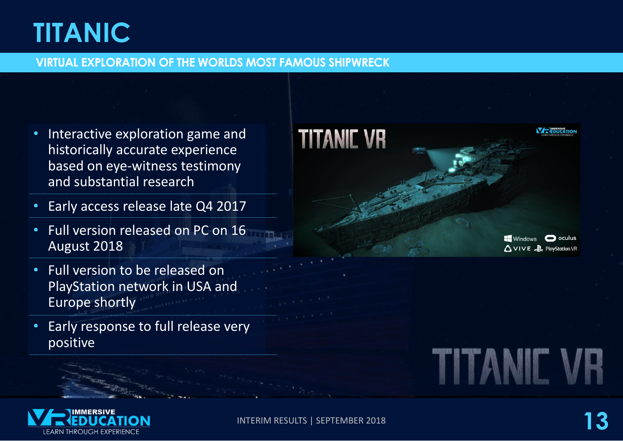# **TITANIC**

#### **VIRTUAL EXPLORATION OF THE WORLDS MOST FAMOUS SHIPWRECK**

- Interactive exploration game and historically accurate experience based on eye-witness testimony and substantial research
- Early access release late Q4 2017
- Full version released on PC on 16 August 2018
- Full version to be released on PlayStation network in USA and Europe shortly
- Early response to full release very positive



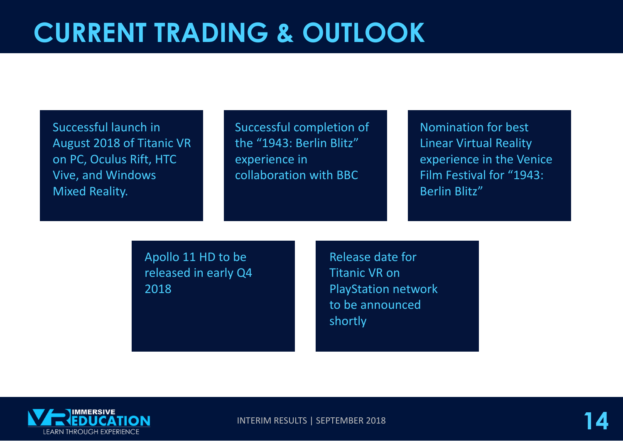Successful launch in August 2018 of Titanic VR on PC, Oculus Rift, HTC Vive, and Windows Mixed Reality.

Successful completion of the "1943: Berlin Blitz" experience in collaboration with BBC

Nomination for best Linear Virtual Reality experience in the Venice Film Festival for "1943: Berlin Blitz"

Apollo 11 HD to be released in early Q4 2018

Release date for Titanic VR on PlayStation network to be announced shortly



**INTERIM RESULTS | SEPTEMBER 2018**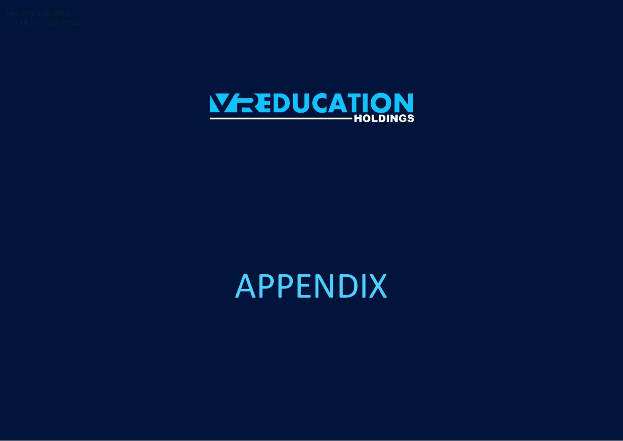

# APPENDIX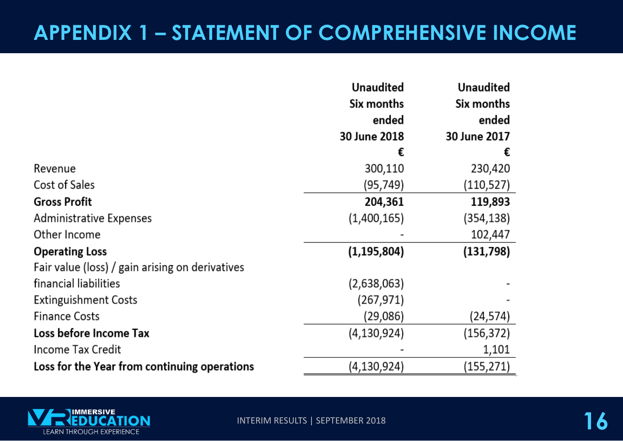### **APPENDIX 1 – STATEMENT OF COMPREHENSIVE INCOME**

|                                                 | <b>Unaudited</b> | <b>Unaudited</b> |
|-------------------------------------------------|------------------|------------------|
|                                                 | Six months       | Six months       |
|                                                 | ended            | ended            |
|                                                 | 30 June 2018     | 30 June 2017     |
|                                                 | €                | €                |
| Revenue                                         | 300,110          | 230,420          |
| Cost of Sales                                   | (95,749)         | (110,527)        |
| <b>Gross Profit</b>                             | 204,361          | 119,893          |
| Administrative Expenses                         | (1,400,165)      | (354,138)        |
| Other Income                                    |                  | 102,447          |
| <b>Operating Loss</b>                           | (1, 195, 804)    | (131,798)        |
| Fair value (loss) / gain arising on derivatives |                  |                  |
| financial liabilities                           | (2,638,063)      |                  |
| <b>Extinguishment Costs</b>                     | (267,971)        |                  |
| <b>Finance Costs</b>                            | (29,086)         | (24,574)         |
| Loss before Income Tax                          | (4, 130, 924)    | (156,372)        |
| Income Tax Credit                               |                  | 1,101            |
| Loss for the Year from continuing operations    | (4, 130, 924)    | (155,271)        |

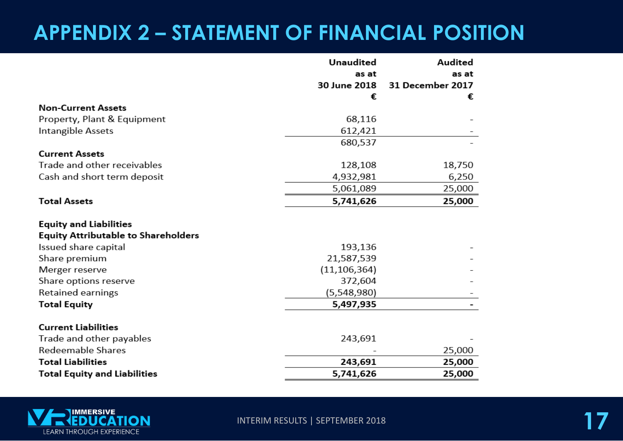## **APPENDIX 2 – STATEMENT OF FINANCIAL POSITION**

|                                                                             | <b>Unaudited</b> | Audited          |
|-----------------------------------------------------------------------------|------------------|------------------|
|                                                                             | as at            | as at            |
|                                                                             | 30 June 2018     | 31 December 2017 |
|                                                                             | €                | €                |
| <b>Non-Current Assets</b>                                                   |                  |                  |
| Property, Plant & Equipment                                                 | 68,116           |                  |
| Intangible Assets                                                           | 612,421          |                  |
|                                                                             | 680,537          |                  |
| <b>Current Assets</b>                                                       |                  |                  |
| Trade and other receivables                                                 | 128,108          | 18,750           |
| Cash and short term deposit                                                 | 4,932,981        | 6,250            |
|                                                                             | 5,061,089        | 25,000           |
| <b>Total Assets</b>                                                         | 5,741,626        | 25,000           |
| <b>Equity and Liabilities</b><br><b>Equity Attributable to Shareholders</b> |                  |                  |
| Issued share capital                                                        | 193,136          |                  |
| Share premium                                                               | 21,587,539       |                  |
| Merger reserve                                                              | (11, 106, 364)   |                  |
| Share options reserve                                                       | 372,604          |                  |
| Retained earnings                                                           | (5,548,980)      |                  |
| <b>Total Equity</b>                                                         | 5,497,935        |                  |
| <b>Current Liabilities</b>                                                  |                  |                  |
| Trade and other payables                                                    | 243,691          |                  |
| Redeemable Shares                                                           |                  | 25,000           |
| <b>Total Liabilities</b>                                                    | 243,691          | 25,000           |
| <b>Total Equity and Liabilities</b>                                         | 5,741,626        | 25,000           |



**INTERIM RESULTS | SEPTEMBER 2018**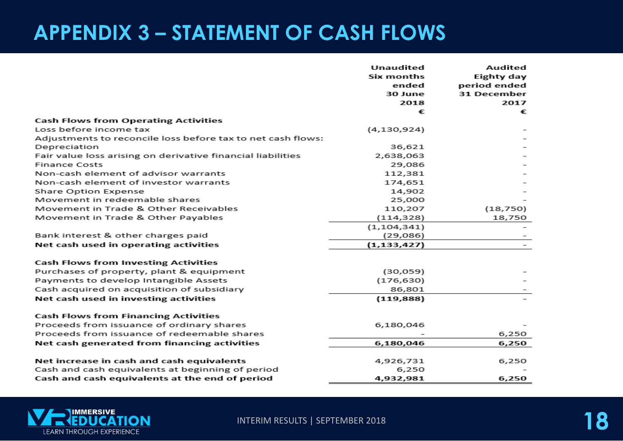### **APPENDIX 3 – STATEMENT OF CASH FLOWS**

|                                                             | <b>Unaudited</b><br>Six months<br>ended<br>30 June<br>2018<br>€ | Audited<br>Eighty day<br>period ended<br>31 December<br>2017<br>€ |
|-------------------------------------------------------------|-----------------------------------------------------------------|-------------------------------------------------------------------|
| <b>Cash Flows from Operating Activities</b>                 |                                                                 |                                                                   |
| Loss before income tax                                      | (4,130,924)                                                     |                                                                   |
| Adjustments to reconcile loss before tax to net cash flows: |                                                                 |                                                                   |
| Depreciation                                                | 36,621                                                          |                                                                   |
| Fair value loss arising on derivative financial liabilities | 2,638,063                                                       |                                                                   |
| <b>Finance Costs</b>                                        | 29,086                                                          |                                                                   |
| Non-cash element of advisor warrants                        | 112,381                                                         |                                                                   |
| Non-cash element of investor warrants                       | 174,651                                                         |                                                                   |
| Share Option Expense                                        | 14,902                                                          |                                                                   |
| Movement in redeemable shares                               | 25,000                                                          |                                                                   |
| Movement in Trade & Other Receivables                       | 110,207                                                         | (18, 750)                                                         |
| Movement in Trade & Other Payables                          | (114, 328)                                                      | 18,750                                                            |
|                                                             | (1, 104, 341)                                                   |                                                                   |
| Bank interest & other charges paid                          | (29,086)                                                        |                                                                   |
| Net cash used in operating activities                       | (1, 133, 427)                                                   |                                                                   |
| <b>Cash Flows from Investing Activities</b>                 |                                                                 |                                                                   |
| Purchases of property, plant & equipment                    | (30, 059)                                                       |                                                                   |
| Payments to develop Intangible Assets                       | (176, 630)                                                      |                                                                   |
| Cash acquired on acquisition of subsidiary                  | 86,801                                                          |                                                                   |
| Net cash used in investing activities                       | (119, 888)                                                      |                                                                   |
| <b>Cash Flows from Financing Activities</b>                 |                                                                 |                                                                   |
| Proceeds from issuance of ordinary shares                   | 6,180,046                                                       |                                                                   |
| Proceeds from issuance of redeemable shares                 |                                                                 | 6,250                                                             |
| Net cash generated from financing activities                | 6,180,046                                                       | 6,250                                                             |
| Net increase in cash and cash equivalents                   | 4,926,731                                                       | 6,250                                                             |
| Cash and cash equivalents at beginning of period            | 6,250                                                           |                                                                   |
| Cash and cash equivalents at the end of period              | 4,932,981                                                       | 6,250                                                             |



INTERIM RESULTS | SEPTEMBER 2018 **188 PM 188 PM 188 PM 188 PM 188 PM 188 PM 188 PM 188 PM 188 PM 188 PM 188 PM**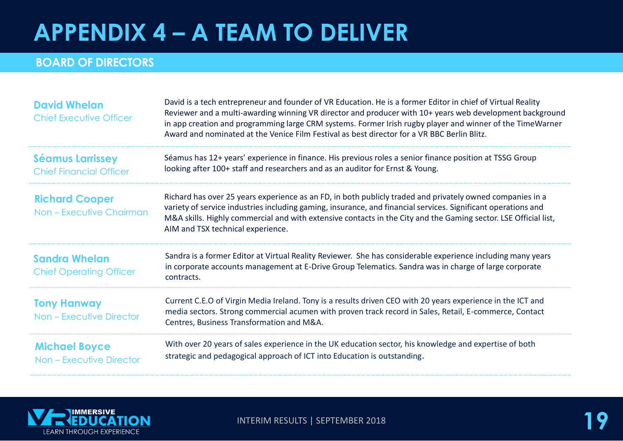## **APPENDIX 4 – A TEAM TO DELIVER**

#### **BOARD OF DIRECTORS**

| <b>David Whelan</b><br>Chief Executive Officer            | David is a tech entrepreneur and founder of VR Education. He is a former Editor in chief of Virtual Reality<br>Reviewer and a multi-awarding winning VR director and producer with 10+ years web development background<br>in app creation and programming large CRM systems. Former Irish rugby player and winner of the TimeWarner<br>Award and nominated at the Venice Film Festival as best director for a VR BBC Berlin Blitz. |
|-----------------------------------------------------------|-------------------------------------------------------------------------------------------------------------------------------------------------------------------------------------------------------------------------------------------------------------------------------------------------------------------------------------------------------------------------------------------------------------------------------------|
| <b>Séamus Larrissey</b><br><b>Chief Financial Officer</b> | Séamus has 12+ years' experience in finance. His previous roles a senior finance position at TSSG Group<br>looking after 100+ staff and researchers and as an auditor for Ernst & Young.                                                                                                                                                                                                                                            |
| <b>Richard Cooper</b><br>Non - Executive Chairman         | Richard has over 25 years experience as an FD, in both publicly traded and privately owned companies in a<br>variety of service industries including gaming, insurance, and financial services. Significant operations and<br>M&A skills. Highly commercial and with extensive contacts in the City and the Gaming sector. LSE Official list,<br>AIM and TSX technical experience.                                                  |
| <b>Sandra Whelan</b><br><b>Chief Operating Officer</b>    | Sandra is a former Editor at Virtual Reality Reviewer. She has considerable experience including many years<br>in corporate accounts management at E-Drive Group Telematics. Sandra was in charge of large corporate<br>contracts.                                                                                                                                                                                                  |
| <b>Tony Hanway</b><br><b>Non - Executive Director</b>     | Current C.E.O of Virgin Media Ireland. Tony is a results driven CEO with 20 years experience in the ICT and<br>media sectors. Strong commercial acumen with proven track record in Sales, Retail, E-commerce, Contact<br>Centres, Business Transformation and M&A.                                                                                                                                                                  |
| <b>Michael Boyce</b><br>Non - Executive Director          | With over 20 years of sales experience in the UK education sector, his knowledge and expertise of both<br>strategic and pedagogical approach of ICT into Education is outstanding.                                                                                                                                                                                                                                                  |